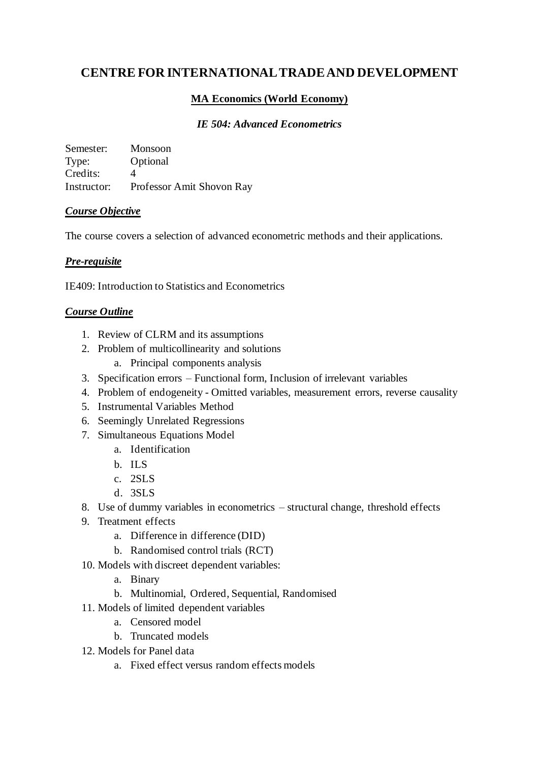# **CENTRE FOR INTERNATIONAL TRADE AND DEVELOPMENT**

# **MA Economics (World Economy)**

### *IE 504: Advanced Econometrics*

Semester: Monsoon Type: Optional Credits: 4 Instructor: Professor Amit Shovon Ray

#### *Course Objective*

The course covers a selection of advanced econometric methods and their applications.

# *Pre-requisite*

IE409: Introduction to Statistics and Econometrics

# *Course Outline*

- 1. Review of CLRM and its assumptions
- 2. Problem of multicollinearity and solutions
	- a. Principal components analysis
- 3. Specification errors Functional form, Inclusion of irrelevant variables
- 4. Problem of endogeneity Omitted variables, measurement errors, reverse causality
- 5. Instrumental Variables Method
- 6. Seemingly Unrelated Regressions
- 7. Simultaneous Equations Model
	- a. Identification
	- b. ILS
	- c. 2SLS
	- d. 3SLS
- 8. Use of dummy variables in econometrics structural change, threshold effects
- 9. Treatment effects
	- a. Difference in difference (DID)
	- b. Randomised control trials (RCT)
- 10. Models with discreet dependent variables:
	- a. Binary
	- b. Multinomial, Ordered, Sequential, Randomised
- 11. Models of limited dependent variables
	- a. Censored model
	- b. Truncated models
- 12. Models for Panel data
	- a. Fixed effect versus random effects models